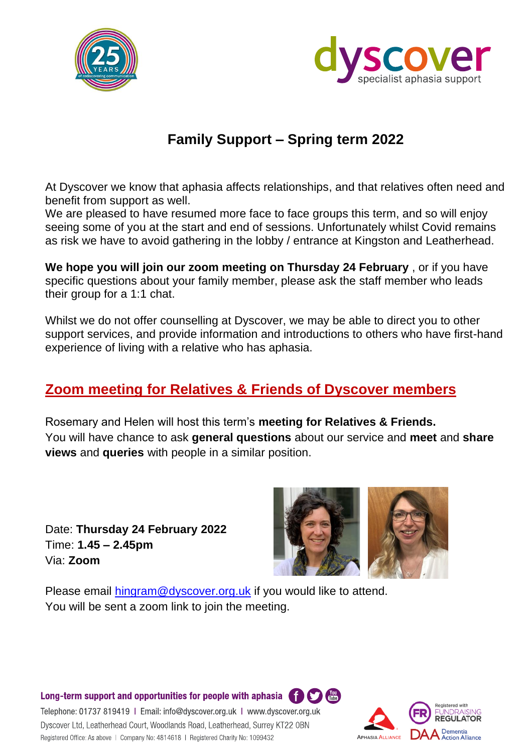



## **Family Support – Spring term 2022**

At Dyscover we know that aphasia affects relationships, and that relatives often need and benefit from support as well.

We are pleased to have resumed more face to face groups this term, and so will enjoy seeing some of you at the start and end of sessions. Unfortunately whilst Covid remains as risk we have to avoid gathering in the lobby / entrance at Kingston and Leatherhead.

**We hope you will join our zoom meeting on Thursday 24 February** , or if you have specific questions about your family member, please ask the staff member who leads their group for a 1:1 chat.

Whilst we do not offer counselling at Dyscover, we may be able to direct you to other support services, and provide information and introductions to others who have first-hand experience of living with a relative who has aphasia.

## **Zoom meeting for Relatives & Friends of Dyscover members**

Rosemary and Helen will host this term's **meeting for Relatives & Friends.** You will have chance to ask **general questions** about our service and **meet** and **share views** and **queries** with people in a similar position.

Date: **Thursday 24 February 2022** Time: **1.45 – 2.45pm**  Via: **Zoom**



Please email [hingram@dyscover.org.uk](mailto:hingram@dyscover.org.uk) if you would like to attend. You will be sent a zoom link to join the meeting.

Long-term support and opportunities for people with aphasia  $\bigoplus_{\omega} \bigoplus_{\omega} \bigoplus_{\omega}$ 

Telephone: 01737 819419 | Email: info@dyscover.org.uk | www.dyscover.org.uk Dyscover Ltd, Leatherhead Court, Woodlands Road, Leatherhead, Surrey KT22 OBN Registered Office: As above | Company No: 4814618 | Registered Charity No: 1099432